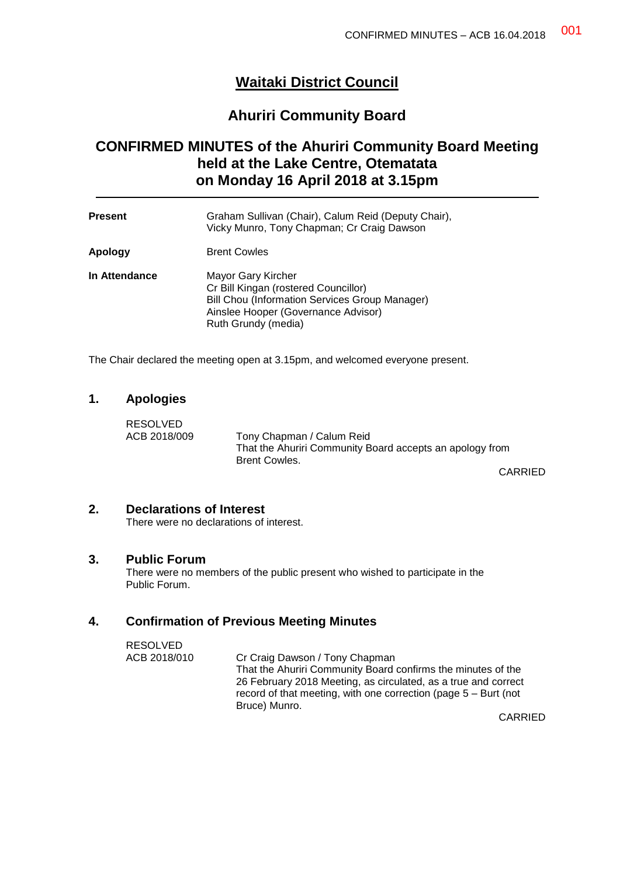# **Waitaki District Council**

## **Ahuriri Community Board**

# **CONFIRMED MINUTES of the Ahuriri Community Board Meeting held at the Lake Centre, Otematata on Monday 16 April 2018 at 3.15pm**

| <b>Present</b> | Graham Sullivan (Chair), Calum Reid (Deputy Chair),<br>Vicky Munro, Tony Chapman; Cr Craig Dawson                                                                          |
|----------------|----------------------------------------------------------------------------------------------------------------------------------------------------------------------------|
| Apology        | <b>Brent Cowles</b>                                                                                                                                                        |
| In Attendance  | Mayor Gary Kircher<br>Cr Bill Kingan (rostered Councillor)<br>Bill Chou (Information Services Group Manager)<br>Ainslee Hooper (Governance Advisor)<br>Ruth Grundy (media) |

The Chair declared the meeting open at 3.15pm, and welcomed everyone present.

#### **1. Apologies**

RESOLVED

ACB 2018/009 Tony Chapman / Calum Reid That the Ahuriri Community Board accepts an apology from Brent Cowles.

CARRIED

## **2. Declarations of Interest**

There were no declarations of interest.

#### **3. Public Forum**

There were no members of the public present who wished to participate in the Public Forum.

### **4. Confirmation of Previous Meeting Minutes**

| <b>RESOLVED</b> |                                                                   |
|-----------------|-------------------------------------------------------------------|
| ACB 2018/010    | Cr Craig Dawson / Tony Chapman                                    |
|                 | That the Ahuriri Community Board confirms the minutes of the      |
|                 | 26 February 2018 Meeting, as circulated, as a true and correct    |
|                 | record of that meeting, with one correction (page $5 -$ Burt (not |
|                 | Bruce) Munro.                                                     |
|                 | <b>AIDDI</b>                                                      |

CARRIED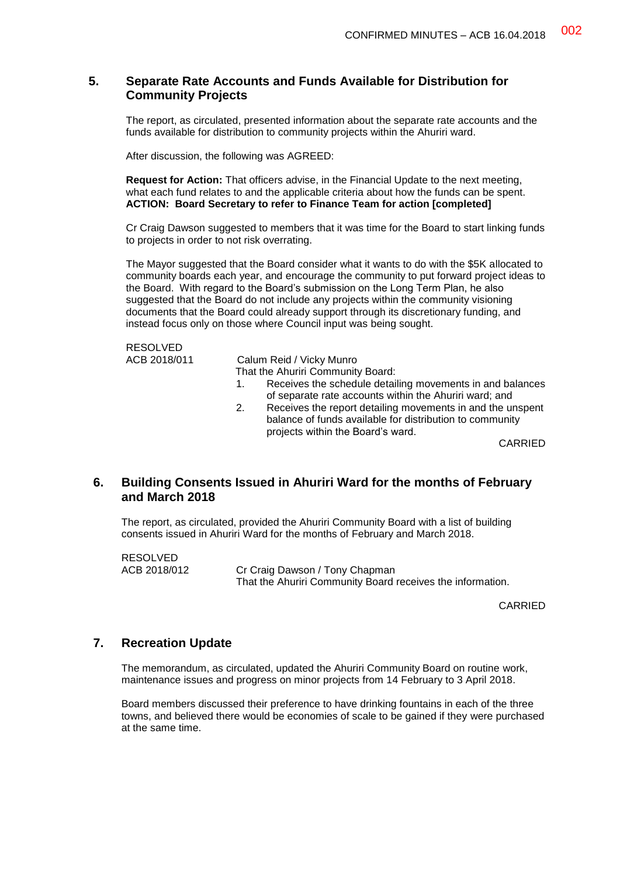### **5. Separate Rate Accounts and Funds Available for Distribution for Community Projects**

The report, as circulated, presented information about the separate rate accounts and the funds available for distribution to community projects within the Ahuriri ward.

After discussion, the following was AGREED:

**Request for Action:** That officers advise, in the Financial Update to the next meeting, what each fund relates to and the applicable criteria about how the funds can be spent. **ACTION: Board Secretary to refer to Finance Team for action [completed]**

Cr Craig Dawson suggested to members that it was time for the Board to start linking funds to projects in order to not risk overrating.

The Mayor suggested that the Board consider what it wants to do with the \$5K allocated to community boards each year, and encourage the community to put forward project ideas to the Board. With regard to the Board's submission on the Long Term Plan, he also suggested that the Board do not include any projects within the community visioning documents that the Board could already support through its discretionary funding, and instead focus only on those where Council input was being sought.

RESOLVED

ACB 2018/011 Calum Reid / Vicky Munro That the Ahuriri Community Board:

- 1. Receives the schedule detailing movements in and balances of separate rate accounts within the Ahuriri ward; and
- 2. Receives the report detailing movements in and the unspent balance of funds available for distribution to community projects within the Board's ward.

CARRIED

### **6. Building Consents Issued in Ahuriri Ward for the months of February and March 2018**

The report, as circulated, provided the Ahuriri Community Board with a list of building consents issued in Ahuriri Ward for the months of February and March 2018.

RESOLVED

ACB 2018/012 Cr Craig Dawson / Tony Chapman That the Ahuriri Community Board receives the information.

CARRIED

#### **7. Recreation Update**

The memorandum, as circulated, updated the Ahuriri Community Board on routine work, maintenance issues and progress on minor projects from 14 February to 3 April 2018.

Board members discussed their preference to have drinking fountains in each of the three towns, and believed there would be economies of scale to be gained if they were purchased at the same time.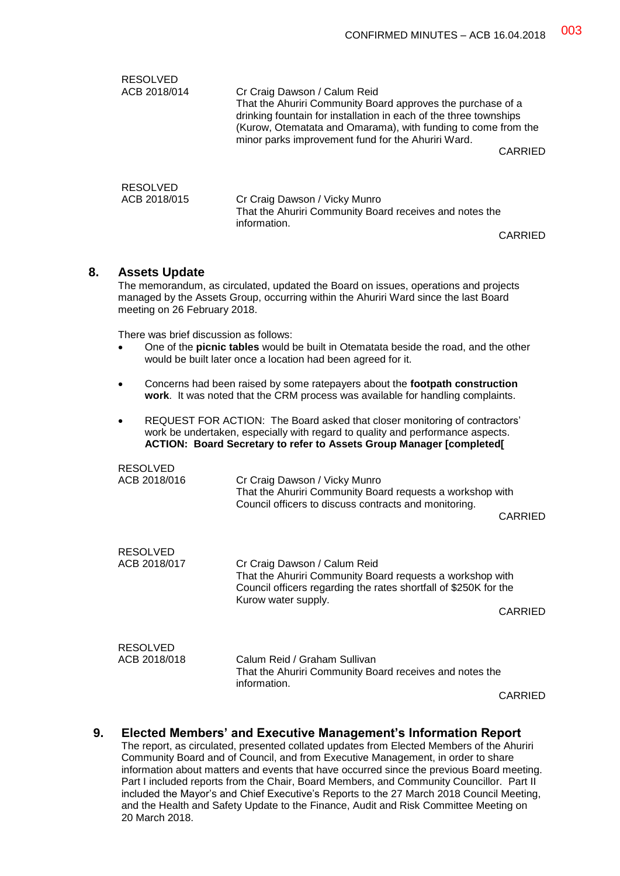| <b>RESOLVED</b><br>ACB 2018/014 | Cr Craig Dawson / Calum Reid<br>That the Ahuriri Community Board approves the purchase of a<br>drinking fountain for installation in each of the three townships<br>(Kurow, Otematata and Omarama), with funding to come from the<br>minor parks improvement fund for the Ahuriri Ward.<br><b>CARRIED</b> |  |
|---------------------------------|-----------------------------------------------------------------------------------------------------------------------------------------------------------------------------------------------------------------------------------------------------------------------------------------------------------|--|
| <b>RESOLVED</b><br>ACB 2018/015 | Cr Craig Dawson / Vicky Munro<br>That the Ahuriri Community Board receives and notes the<br>information.<br>CARRIED                                                                                                                                                                                       |  |

#### **8. Assets Update**

The memorandum, as circulated, updated the Board on issues, operations and projects managed by the Assets Group, occurring within the Ahuriri Ward since the last Board meeting on 26 February 2018.

There was brief discussion as follows:

- One of the **picnic tables** would be built in Otematata beside the road, and the other would be built later once a location had been agreed for it.
- Concerns had been raised by some ratepayers about the **footpath construction work**. It was noted that the CRM process was available for handling complaints.
- REQUEST FOR ACTION: The Board asked that closer monitoring of contractors' work be undertaken, especially with regard to quality and performance aspects. **ACTION: Board Secretary to refer to Assets Group Manager [completed[**

| <b>RESOLVED</b><br>ACB 2018/016 | Cr Craig Dawson / Vicky Munro<br>That the Ahuriri Community Board requests a workshop with                                                                                           |         |
|---------------------------------|--------------------------------------------------------------------------------------------------------------------------------------------------------------------------------------|---------|
|                                 | Council officers to discuss contracts and monitoring.                                                                                                                                | CARRIED |
| <b>RESOLVED</b><br>ACB 2018/017 | Cr Craig Dawson / Calum Reid<br>That the Ahuriri Community Board requests a workshop with<br>Council officers regarding the rates shortfall of \$250K for the<br>Kurow water supply. | CARRIED |
| <b>RESOLVED</b><br>ACB 2018/018 | Calum Reid / Graham Sullivan<br>That the Ahuriri Community Board receives and notes the<br>information.                                                                              | CARRIED |

#### **9. Elected Members' and Executive Management's Information Report**

The report, as circulated, presented collated updates from Elected Members of the Ahuriri Community Board and of Council, and from Executive Management, in order to share information about matters and events that have occurred since the previous Board meeting. Part I included reports from the Chair, Board Members, and Community Councillor. Part II included the Mayor's and Chief Executive's Reports to the 27 March 2018 Council Meeting, and the Health and Safety Update to the Finance, Audit and Risk Committee Meeting on 20 March 2018.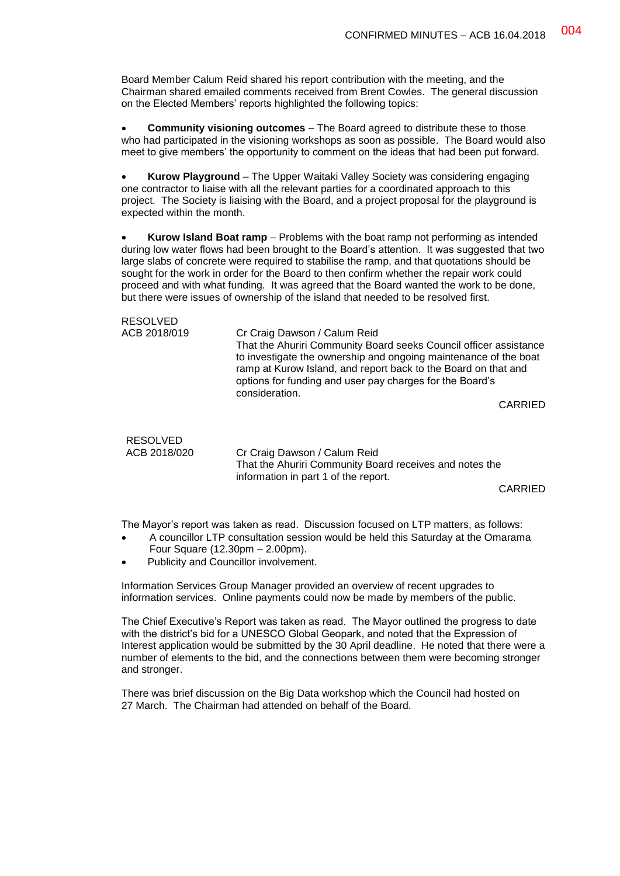Board Member Calum Reid shared his report contribution with the meeting, and the Chairman shared emailed comments received from Brent Cowles. The general discussion on the Elected Members' reports highlighted the following topics:

 **Community visioning outcomes** – The Board agreed to distribute these to those who had participated in the visioning workshops as soon as possible. The Board would also meet to give members' the opportunity to comment on the ideas that had been put forward.

 **Kurow Playground** – The Upper Waitaki Valley Society was considering engaging one contractor to liaise with all the relevant parties for a coordinated approach to this project. The Society is liaising with the Board, and a project proposal for the playground is expected within the month.

 **Kurow Island Boat ramp** – Problems with the boat ramp not performing as intended during low water flows had been brought to the Board's attention. It was suggested that two large slabs of concrete were required to stabilise the ramp, and that quotations should be sought for the work in order for the Board to then confirm whether the repair work could proceed and with what funding. It was agreed that the Board wanted the work to be done, but there were issues of ownership of the island that needed to be resolved first.

| <b>RESOLVED</b><br>ACB 2018/019 | Cr Craig Dawson / Calum Reid<br>That the Ahuriri Community Board seeks Council officer assistance<br>to investigate the ownership and ongoing maintenance of the boat<br>ramp at Kurow Island, and report back to the Board on that and<br>options for funding and user pay charges for the Board's<br>consideration.<br><b>CARRIED</b> |
|---------------------------------|-----------------------------------------------------------------------------------------------------------------------------------------------------------------------------------------------------------------------------------------------------------------------------------------------------------------------------------------|
| <b>RESOLVED</b><br>ACB 2018/020 | Cr Craig Dawson / Calum Reid<br>That the Ahuriri Community Board receives and notes the<br>information in part 1 of the report.                                                                                                                                                                                                         |

CARRIED

The Mayor's report was taken as read. Discussion focused on LTP matters, as follows:

- A councillor LTP consultation session would be held this Saturday at the Omarama Four Square (12.30pm – 2.00pm).
- Publicity and Councillor involvement.

Information Services Group Manager provided an overview of recent upgrades to information services. Online payments could now be made by members of the public.

The Chief Executive's Report was taken as read. The Mayor outlined the progress to date with the district's bid for a UNESCO Global Geopark, and noted that the Expression of Interest application would be submitted by the 30 April deadline. He noted that there were a number of elements to the bid, and the connections between them were becoming stronger and stronger.

There was brief discussion on the Big Data workshop which the Council had hosted on 27 March. The Chairman had attended on behalf of the Board.